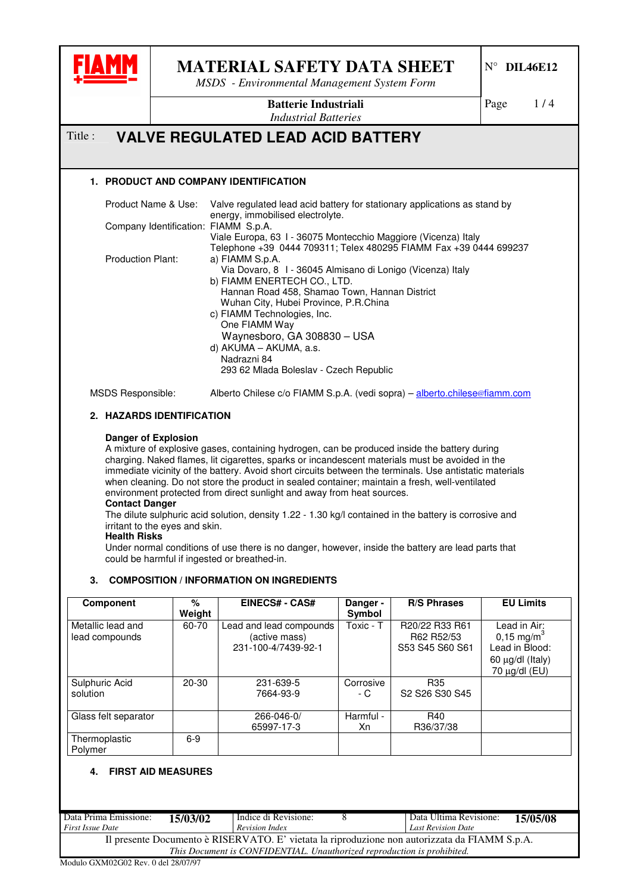

*MSDS - Environmental Management System Form*

N° **DIL46E12**

Page 1/4

**Batterie Industriali** *Industrial Batteries*

# Title : **VALVE REGULATED LEAD ACID BATTERY**

## **1. PRODUCT AND COMPANY IDENTIFICATION**

| Product Name & Use:                  | Valve regulated lead acid battery for stationary applications as stand by    |
|--------------------------------------|------------------------------------------------------------------------------|
| Company Identification: FIAMM S.p.A. | energy, immobilised electrolyte.                                             |
|                                      | Viale Europa, 63 I - 36075 Montecchio Maggiore (Vicenza) Italy               |
|                                      | Telephone +39 0444 709311; Telex 480295 FIAMM Fax +39 0444 699237            |
| <b>Production Plant:</b>             | a) FIAMM S.p.A.                                                              |
|                                      | Via Dovaro, 8 1 - 36045 Almisano di Lonigo (Vicenza) Italy                   |
|                                      | b) FIAMM ENERTECH CO., LTD.<br>Hannan Road 458, Shamao Town, Hannan District |
|                                      | Wuhan City, Hubei Province, P.R.China                                        |
|                                      | c) FIAMM Technologies, Inc.                                                  |
|                                      | One FIAMM Way                                                                |
|                                      | Waynesboro, GA 308830 - USA                                                  |
|                                      | d) AKUMA - AKUMA, a.s.                                                       |
|                                      | Nadrazni 84                                                                  |
|                                      | 293 62 Mlada Boleslav - Czech Republic                                       |
| MSDS Responsible:                    | Alberto Chilese c/o FIAMM S.p.A. (vedi sopra) – alberto.chilese@fiamm.com    |

# **2. HAZARDS IDENTIFICATION**

#### **Danger of Explosion**

A mixture of explosive gases, containing hydrogen, can be produced inside the battery during charging. Naked flames, lit cigarettes, sparks or incandescent materials must be avoided in the immediate vicinity of the battery. Avoid short circuits between the terminals. Use antistatic materials when cleaning. Do not store the product in sealed container; maintain a fresh, well-ventilated environment protected from direct sunlight and away from heat sources.

#### **Contact Danger**

The dilute sulphuric acid solution, density 1.22 - 1.30 kg/l contained in the battery is corrosive and irritant to the eyes and skin.

#### **Health Risks**

Under normal conditions of use there is no danger, however, inside the battery are lead parts that could be harmful if ingested or breathed-in.

### **3. COMPOSITION / INFORMATION ON INGREDIENTS**

| <b>Component</b>                    | $\%$<br>Weight | <b>EINECS# - CAS#</b>                                           | Danger -<br>Symbol | <b>R/S Phrases</b>                                                                | <b>EU Limits</b>                                                                                  |
|-------------------------------------|----------------|-----------------------------------------------------------------|--------------------|-----------------------------------------------------------------------------------|---------------------------------------------------------------------------------------------------|
| Metallic lead and<br>lead compounds | 60-70          | Lead and lead compounds<br>(active mass)<br>231-100-4/7439-92-1 | Toxic - T          | R20/22 R33 R61<br>R62 R52/53<br>S53 S45 S60 S61                                   | Lead in Air:<br>$0,15 \text{ mg/m}^3$<br>Lead in Blood:<br>60 µg/dl (Italy)<br>70 $\mu$ g/dl (EU) |
| Sulphuric Acid<br>solution          | $20 - 30$      | 231-639-5<br>7664-93-9                                          | Corrosive<br>- C   | R <sub>35</sub><br>S <sub>2</sub> S <sub>26</sub> S <sub>30</sub> S <sub>45</sub> |                                                                                                   |
| Glass felt separator                |                | 266-046-0/<br>65997-17-3                                        | Harmful -<br>Xn    | R40<br>R36/37/38                                                                  |                                                                                                   |
| Thermoplastic<br>Polymer            | $6-9$          |                                                                 |                    |                                                                                   |                                                                                                   |

### **4. FIRST AID MEASURES**

| Data Prima Emissione:<br><b>First Issue Date</b>                                              | <b>15/03/02</b> | Indice di Revisione:<br>Revision Index |  | Data Ultima Revisione:<br><b>Last Revision Date</b> | 15/05/08 |  |
|-----------------------------------------------------------------------------------------------|-----------------|----------------------------------------|--|-----------------------------------------------------|----------|--|
| Il presente Documento è RISERVATO. E' vietata la riproduzione non autorizzata da FIAMM S.p.A. |                 |                                        |  |                                                     |          |  |
| This Document is CONFIDENTIAL. Unauthorized reproduction is prohibited.                       |                 |                                        |  |                                                     |          |  |
| Modulo GXM02G02 Rev 0 del 28/07/97                                                            |                 |                                        |  |                                                     |          |  |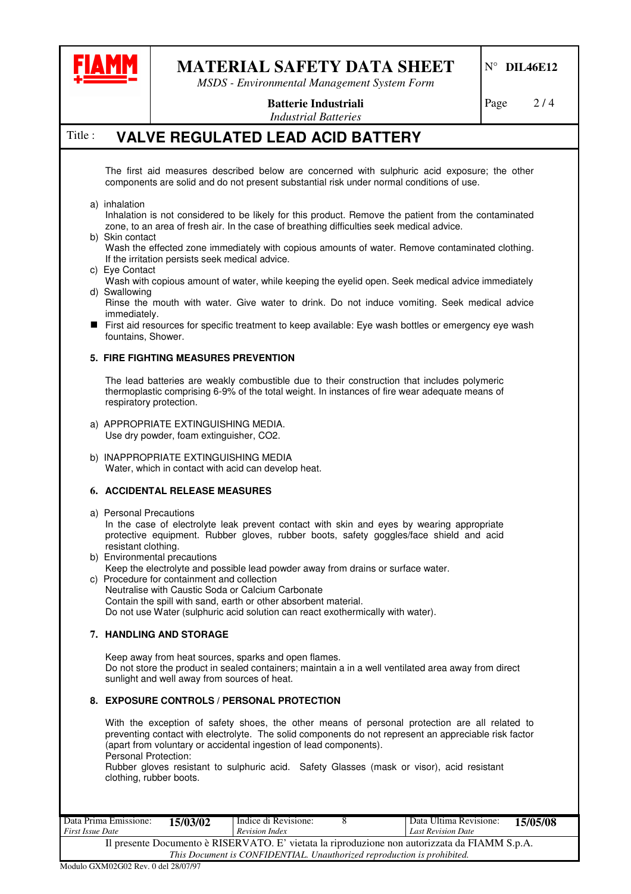

*MSDS - Environmental Management System Form*

# N° **DIL46E12**

Page  $2/4$ 

**Batterie Industriali** *Industrial Batteries*

# Title : **VALVE REGULATED LEAD ACID BATTERY**

The first aid measures described below are concerned with sulphuric acid exposure; the other components are solid and do not present substantial risk under normal conditions of use.

- a) inhalation
- Inhalation is not considered to be likely for this product. Remove the patient from the contaminated zone, to an area of fresh air. In the case of breathing difficulties seek medical advice.
- b) Skin contact

Wash the effected zone immediately with copious amounts of water. Remove contaminated clothing. If the irritation persists seek medical advice.

- c) Eye Contact
- Wash with copious amount of water, while keeping the eyelid open. Seek medical advice immediately d) Swallowing
	- Rinse the mouth with water. Give water to drink. Do not induce vomiting. Seek medical advice immediately.
- First aid resources for specific treatment to keep available: Eye wash bottles or emergency eye wash fountains, Shower.

#### **5. FIRE FIGHTING MEASURES PREVENTION**

The lead batteries are weakly combustible due to their construction that includes polymeric thermoplastic comprising 6-9% of the total weight. In instances of fire wear adequate means of respiratory protection.

- a) APPROPRIATE EXTINGUISHING MEDIA. Use dry powder, foam extinguisher, CO2.
- b) INAPPROPRIATE EXTINGUISHING MEDIA Water, which in contact with acid can develop heat.

### **6. ACCIDENTAL RELEASE MEASURES**

- a) Personal Precautions In the case of electrolyte leak prevent contact with skin and eyes by wearing appropriate protective equipment. Rubber gloves, rubber boots, safety goggles/face shield and acid resistant clothing.
- b) Environmental precautions
- Keep the electrolyte and possible lead powder away from drains or surface water. c) Procedure for containment and collection Neutralise with Caustic Soda or Calcium Carbonate Contain the spill with sand, earth or other absorbent material. Do not use Water (sulphuric acid solution can react exothermically with water).

### **7. HANDLING AND STORAGE**

Keep away from heat sources, sparks and open flames. Do not store the product in sealed containers; maintain a in a well ventilated area away from direct sunlight and well away from sources of heat.

### **8. EXPOSURE CONTROLS / PERSONAL PROTECTION**

With the exception of safety shoes, the other means of personal protection are all related to preventing contact with electrolyte. The solid components do not represent an appreciable risk factor (apart from voluntary or accidental ingestion of lead components). Personal Protection:

Rubber gloves resistant to sulphuric acid. Safety Glasses (mask or visor), acid resistant clothing, rubber boots.

| Data Prima Emissione:<br><b>First Issue Date</b>                                                                                                                         | 15/03/02 | Indice di Revisione:<br><b>Revision Index</b> |  | Data Ultima Revisione:<br><b>Last Revision Date</b> | 15/05/08 |  |  |
|--------------------------------------------------------------------------------------------------------------------------------------------------------------------------|----------|-----------------------------------------------|--|-----------------------------------------------------|----------|--|--|
| Il presente Documento è RISERVATO. E' vietata la riproduzione non autorizzata da FIAMM S.p.A.<br>This Document is CONFIDENTIAL. Unauthorized reproduction is prohibited. |          |                                               |  |                                                     |          |  |  |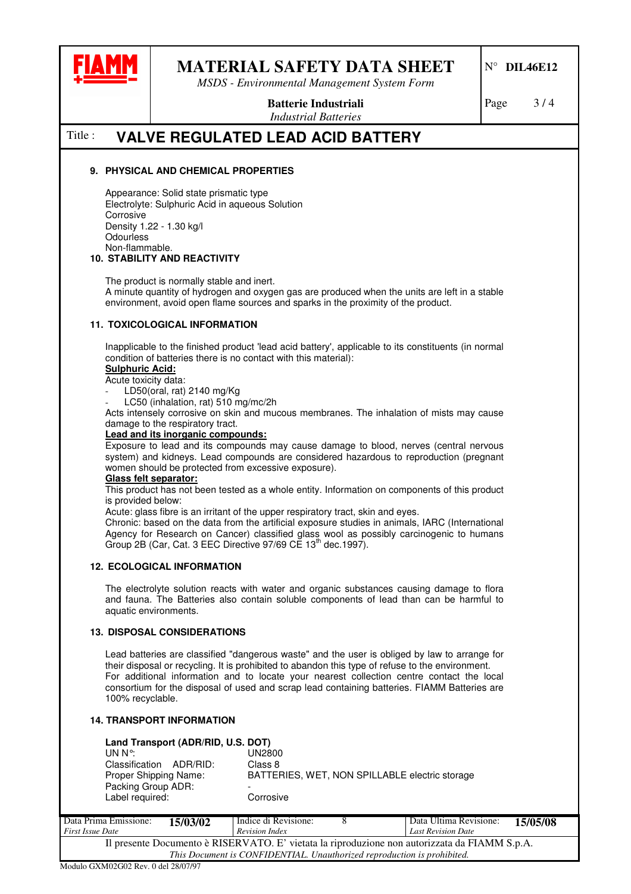

*MSDS - Environmental Management System Form*

**Batterie Industriali**

Page 3/4

*Industrial Batteries*

# Title : **VALVE REGULATED LEAD ACID BATTERY**

#### **9. PHYSICAL AND CHEMICAL PROPERTIES**

Appearance: Solid state prismatic type Electrolyte: Sulphuric Acid in aqueous Solution **Corrosive** Density 1.22 - 1.30 kg/l **Odourless** Non-flammable.

#### **10. STABILITY AND REACTIVITY**

The product is normally stable and inert.

A minute quantity of hydrogen and oxygen gas are produced when the units are left in a stable environment, avoid open flame sources and sparks in the proximity of the product.

#### **11. TOXICOLOGICAL INFORMATION**

Inapplicable to the finished product 'lead acid battery', applicable to its constituents (in normal condition of batteries there is no contact with this material):

### **Sulphuric Acid:**

#### Acute toxicity data:

- LD50(oral, rat) 2140 mg/Kg
- LC50 (inhalation, rat) 510 mg/mc/2h

Acts intensely corrosive on skin and mucous membranes. The inhalation of mists may cause damage to the respiratory tract.

#### **Lead and its inorganic compounds:**

Exposure to lead and its compounds may cause damage to blood, nerves (central nervous system) and kidneys. Lead compounds are considered hazardous to reproduction (pregnant women should be protected from excessive exposure).

#### **Glass felt separator:**

This product has not been tested as a whole entity. Information on components of this product is provided below:

Acute: glass fibre is an irritant of the upper respiratory tract, skin and eyes.

Chronic: based on the data from the artificial exposure studies in animals, IARC (International Agency for Research on Cancer) classified glass wool as possibly carcinogenic to humans Group 2B (Car, Cat. 3 EEC Directive 97/69 CE 13<sup>th</sup> dec.1997).

#### **12. ECOLOGICAL INFORMATION**

The electrolyte solution reacts with water and organic substances causing damage to flora and fauna. The Batteries also contain soluble components of lead than can be harmful to aquatic environments.

#### **13. DISPOSAL CONSIDERATIONS**

Lead batteries are classified "dangerous waste" and the user is obliged by law to arrange for their disposal or recycling. It is prohibited to abandon this type of refuse to the environment. For additional information and to locate your nearest collection centre contact the local consortium for the disposal of used and scrap lead containing batteries. FIAMM Batteries are 100% recyclable.

#### **14. TRANSPORT INFORMATION**

| Land Transport (ADR/RID, U.S. DOT) |                                                |
|------------------------------------|------------------------------------------------|
| $UN N^{\circ}$                     | UN2800                                         |
| Classification ADR/RID:            | Class 8                                        |
| Proper Shipping Name:              | BATTERIES, WET, NON SPILLABLE electric storage |
| Packing Group ADR:                 |                                                |
| Label required:                    | Corrosive                                      |

| Data Prima Emissione:<br><b>First Issue Date</b>                                              | 15/03/02    | Indice di Revisione:<br>Revision Index |  | Data Ultima Revisione:<br>Last Revision Date | 15/05/08 |  |
|-----------------------------------------------------------------------------------------------|-------------|----------------------------------------|--|----------------------------------------------|----------|--|
| Il presente Documento è RISERVATO. E' vietata la riproduzione non autorizzata da FIAMM S.p.A. |             |                                        |  |                                              |          |  |
| This Document is CONFIDENTIAL. Unauthorized reproduction is prohibited.                       |             |                                        |  |                                              |          |  |
| $\alpha$                                                                                      | 0.110000707 |                                        |  |                                              |          |  |